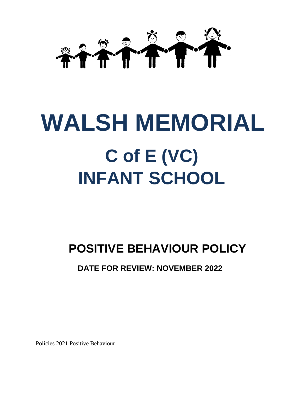

# **WALSH MEMORIAL C of E (VC) INFANT SCHOOL**

## **POSITIVE BEHAVIOUR POLICY**

### **DATE FOR REVIEW: NOVEMBER 2022**

Policies 2021 Positive Behaviour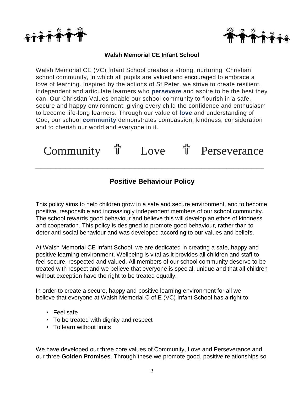



#### **Walsh Memorial CE Infant School**

Walsh Memorial CE (VC) Infant School creates a strong, nurturing, Christian school community, in which all pupils are valued and encouraged to embrace a love of learning. Inspired by the actions of St Peter, we strive to create resilient, independent and articulate learners who **persevere** and aspire to be the best they can. Our Christian Values enable our school community to flourish in a safe, secure and happy environment, giving every child the confidence and enthusiasm to become life-long learners. Through our value of **love** and understanding of God, our school **community** demonstrates compassion, kindness, consideration and to cherish our world and everyone in it.



#### **Positive Behaviour Policy**

*\_\_\_\_\_\_\_\_\_\_\_\_\_\_\_\_\_\_\_\_\_\_\_\_\_\_\_\_\_\_\_\_\_\_\_\_\_\_\_\_\_\_\_\_\_\_\_\_\_\_\_\_\_\_\_\_\_\_\_\_\_\_\_\_\_\_\_\_\_\_\_\_\_\_\_\_\_\_\_\_\_\_\_\_\_\_\_\_\_\_\_\_*

This policy aims to help children grow in a safe and secure environment, and to become positive, responsible and increasingly independent members of our school community. The school rewards good behaviour and believe this will develop an ethos of kindness and cooperation. This policy is designed to promote good behaviour, rather than to deter anti-social behaviour and was developed according to our values and beliefs.

At Walsh Memorial CE Infant School, we are dedicated in creating a safe, happy and positive learning environment. Wellbeing is vital as it provides all children and staff to feel secure, respected and valued. All members of our school community deserve to be treated with respect and we believe that everyone is special, unique and that all children without exception have the right to be treated equally.

In order to create a secure, happy and positive learning environment for all we believe that everyone at Walsh Memorial C of E (VC) Infant School has a right to:

- Feel safe
- To be treated with dignity and respect
- To learn without limits

We have developed our three core values of Community, Love and Perseverance and our three **Golden Promises**. Through these we promote good, positive relationships so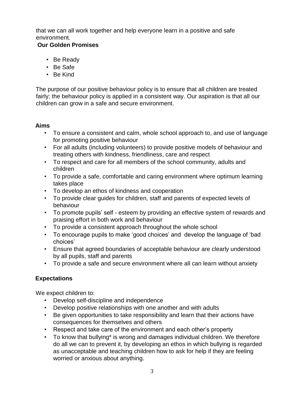that we can all work together and help everyone learn in a positive and safe environment.

#### **Our Golden Promises**

- Be Ready
- Be Safe
- Be Kind

The purpose of our positive behaviour policy is to ensure that all children are treated fairly; the behaviour policy is applied in a consistent way. Our aspiration is that all our children can grow in a safe and secure environment.

#### **Aims**

- To ensure a consistent and calm, whole school approach to, and use of language for promoting positive behaviour
- For all adults (including volunteers) to provide positive models of behaviour and treating others with kindness, friendliness, care and respect
- To respect and care for all members of the school community, adults and children
- To provide a safe, comfortable and caring environment where optimum learning takes place
- To develop an ethos of kindness and cooperation
- To provide clear guides for children, staff and parents of expected levels of behaviour
- To promote pupils' self esteem by providing an effective system of rewards and praising effort in both work and behaviour
- To provide a consistent approach throughout the whole school
- To encourage pupils to make 'good choices' and develop the language of 'bad choices'
- Ensure that agreed boundaries of acceptable behaviour are clearly understood by all pupils, staff and parents
- To provide a safe and secure environment where all can learn without anxiety

#### **Expectations**

We expect children to:

- Develop self-discipline and independence
- Develop positive relationships with one another and with adults
- Be given opportunities to take responsibility and learn that their actions have consequences for themselves and others
- Respect and take care of the environment and each other's property
- To know that bullying\* is wrong and damages individual children. We therefore do all we can to prevent it, by developing an ethos in which bullying is regarded as unacceptable and teaching children how to ask for help if they are feeling worried or anxious about anything.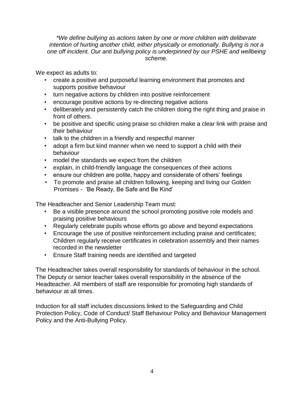*\*We define bullying as actions taken by one or more children with deliberate intention of hurting another child, either physically or emotionally. Bullying is not a one off incident. Our anti bullying policy is underpinned by our PSHE and wellbeing scheme.* 

We expect as adults to:

- create a positive and purposeful learning environment that promotes and supports positive behaviour
- turn negative actions by children into positive reinforcement
- encourage positive actions by re-directing negative actions
- deliberately and persistently catch the children doing the right thing and praise in front of others.
- be positive and specific using praise so children make a clear link with praise and their behaviour
- talk to the children in a friendly and respectful manner
- adopt a firm but kind manner when we need to support a child with their behaviour
- model the standards we expect from the children
- explain, in child-friendly language the consequences of their actions
- ensure our children are polite, happy and considerate of others' feelings
- To promote and praise all children following, keeping and living our Golden Promises - 'Be Ready, Be Safe and Be Kind'

The Headteacher and Senior Leadership Team must:

- Be a visible presence around the school promoting positive role models and praising positive behaviours
- Regularly celebrate pupils whose efforts go above and beyond expectations
- Encourage the use of positive reinforcement including praise and certificates; Children regularly receive certificates in celebration assembly and their names recorded in the newsletter
- Ensure Staff training needs are identified and targeted

The Headteacher takes overall responsibility for standards of behaviour in the school. The Deputy or senior teacher takes overall responsibility in the absence of the Headteacher. All members of staff are responsible for promoting high standards of behaviour at all times.

Induction for all staff includes discussions linked to the Safeguarding and Child Protection Policy, Code of Conduct/ Staff Behaviour Policy and Behaviour Management Policy and the Anti-Bullying Policy.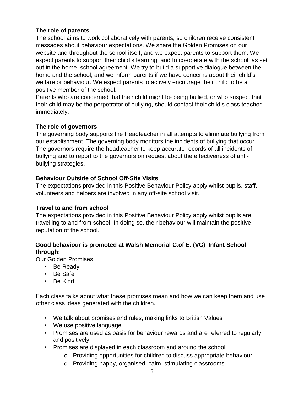#### **The role of parents**

The school aims to work collaboratively with parents, so children receive consistent messages about behaviour expectations. We share the Golden Promises on our website and throughout the school itself, and we expect parents to support them. We expect parents to support their child's learning, and to co-operate with the school, as set out in the home–school agreement. We try to build a supportive dialogue between the home and the school, and we inform parents if we have concerns about their child's welfare or behaviour. We expect parents to actively encourage their child to be a positive member of the school.

Parents who are concerned that their child might be being bullied, or who suspect that their child may be the perpetrator of bullying, should contact their child's class teacher immediately.

#### **The role of governors**

The governing body supports the Headteacher in all attempts to eliminate bullying from our establishment. The governing body monitors the incidents of bullying that occur. The governors require the headteacher to keep accurate records of all incidents of bullying and to report to the governors on request about the effectiveness of antibullying strategies.

#### **Behaviour Outside of School Off-Site Visits**

The expectations provided in this Positive Behaviour Policy apply whilst pupils, staff, volunteers and helpers are involved in any off-site school visit.

#### **Travel to and from school**

The expectations provided in this Positive Behaviour Policy apply whilst pupils are travelling to and from school. In doing so, their behaviour will maintain the positive reputation of the school.

#### **Good behaviour is promoted at Walsh Memorial C.of E. (VC) Infant School through:**

Our Golden Promises

- Be Ready
- Be Safe
- Be Kind

Each class talks about what these promises mean and how we can keep them and use other class ideas generated with the children.

- We talk about promises and rules, making links to British Values
- We use positive language
- Promises are used as basis for behaviour rewards and are referred to regularly and positively
- Promises are displayed in each classroom and around the school
	- o Providing opportunities for children to discuss appropriate behaviour
	- o Providing happy, organised, calm, stimulating classrooms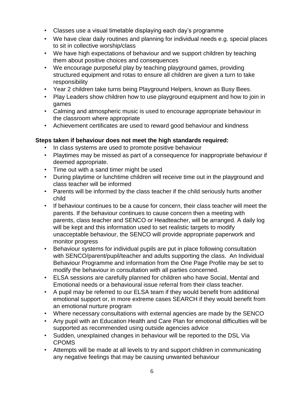- Classes use a visual timetable displaying each day's programme
- We have clear daily routines and planning for individual needs e.g. special places to sit in collective worship/class
- We have high expectations of behaviour and we support children by teaching them about positive choices and consequences
- We encourage purposeful play by teaching playground games, providing structured equipment and rotas to ensure all children are given a turn to take responsibility
- Year 2 children take turns being Playground Helpers, known as Busy Bees.
- Play Leaders show children how to use playground equipment and how to join in games
- Calming and atmospheric music is used to encourage appropriate behaviour in the classroom where appropriate
- Achievement certificates are used to reward good behaviour and kindness

#### **Steps taken if behaviour does not meet the high standards required:**

- In class systems are used to promote positive behaviour
- Playtimes may be missed as part of a consequence for inappropriate behaviour if deemed appropriate.
- Time out with a sand timer might be used
- During playtime or lunchtime children will receive time out in the playground and class teacher will be informed
- Parents will be informed by the class teacher if the child seriously hurts another child
- If behaviour continues to be a cause for concern, their class teacher will meet the parents. If the behaviour continues to cause concern then a meeting with parents, class teacher and SENCO or Headteacher, will be arranged. A daily log will be kept and this information used to set realistic targets to modify unacceptable behaviour, the SENCO will provide appropriate paperwork and monitor progress
- Behaviour systems for individual pupils are put in place following consultation with SENCO/parent/pupil/teacher and adults supporting the class. An Individual Behaviour Programme and information from the One Page Profile may be set to modify the behaviour in consultation with all parties concerned.
- ELSA sessions are carefully planned for children who have Social, Mental and Emotional needs or a behavioural issue referral from their class teacher.
- A pupil may be referred to our ELSA team if they would benefit from additional emotional support or, in more extreme cases SEARCH if they would benefit from an emotional nurture program
- Where necessary consultations with external agencies are made by the SENCO
- Any pupil with an Education Health and Care Plan for emotional difficulties will be supported as recommended using outside agencies advice
- Sudden, unexplained changes in behaviour will be reported to the DSL Via CPOMS
- Attempts will be made at all levels to try and support children in communicating any negative feelings that may be causing unwanted behaviour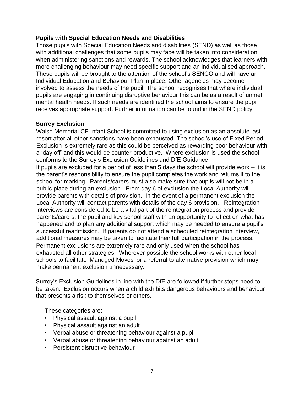#### **Pupils with Special Education Needs and Disabilities**

Those pupils with Special Education Needs and disabilities (SEND) as well as those with additional challenges that some pupils may face will be taken into consideration when administering sanctions and rewards. The school acknowledges that learners with more challenging behaviour may need specific support and an individualised approach. These pupils will be brought to the attention of the school's SENCO and will have an Individual Education and Behaviour Plan in place. Other agencies may become involved to assess the needs of the pupil. The school recognises that where individual pupils are engaging in continuing disruptive behaviour this can be as a result of unmet mental health needs. If such needs are identified the school aims to ensure the pupil receives appropriate support. Further information can be found in the SEND policy.

#### **Surrey Exclusion**

Walsh Memorial CE Infant School is committed to using exclusion as an absolute last resort after all other sanctions have been exhausted. The school's use of Fixed Period Exclusion is extremely rare as this could be perceived as rewarding poor behaviour with a 'day off' and this would be counter-productive. Where exclusion is used the school conforms to the Surrey's Exclusion Guidelines and DfE Guidance.

If pupils are excluded for a period of less than 5 days the school will provide work  $-$  it is the parent's responsibility to ensure the pupil completes the work and returns it to the school for marking. Parents/carers must also make sure that pupils will not be in a public place during an exclusion. From day 6 of exclusion the Local Authority will provide parents with details of provision. In the event of a permanent exclusion the Local Authority will contact parents with details of the day 6 provision. Reintegration interviews are considered to be a vital part of the reintegration process and provide parents/carers, the pupil and key school staff with an opportunity to reflect on what has happened and to plan any additional support which may be needed to ensure a pupil's successful readmission. If parents do not attend a scheduled reintegration interview, additional measures may be taken to facilitate their full participation in the process. Permanent exclusions are extremely rare and only used when the school has exhausted all other strategies. Wherever possible the school works with other local schools to facilitate 'Managed Moves' or a referral to alternative provision which may make permanent exclusion unnecessary.

Surrey's Exclusion Guidelines in line with the DfE are followed if further steps need to be taken. Exclusion occurs when a child exhibits dangerous behaviours and behaviour that presents a risk to themselves or others.

These categories are:

- Physical assault against a pupil
- Physical assault against an adult
- Verbal abuse or threatening behaviour against a pupil
- Verbal abuse or threatening behaviour against an adult
- Persistent disruptive behaviour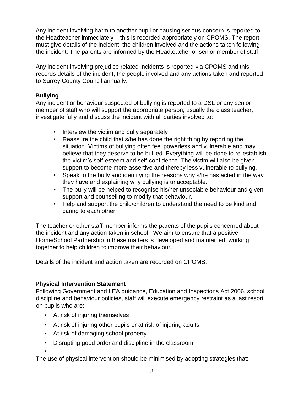Any incident involving harm to another pupil or causing serious concern is reported to the Headteacher immediately – this is recorded appropriately on CPOMS. The report must give details of the incident, the children involved and the actions taken following the incident. The parents are informed by the Headteacher or senior member of staff.

Any incident involving prejudice related incidents is reported via CPOMS and this records details of the incident, the people involved and any actions taken and reported to Surrey County Council annually.

#### **Bullying**

Any incident or behaviour suspected of bullying is reported to a DSL or any senior member of staff who will support the appropriate person, usually the class teacher, investigate fully and discuss the incident with all parties involved to:

- Interview the victim and bully separately
- Reassure the child that s/he has done the right thing by reporting the situation. Victims of bullying often feel powerless and vulnerable and may believe that they deserve to be bullied. Everything will be done to re-establish the victim's self-esteem and self-confidence. The victim will also be given support to become more assertive and thereby less vulnerable to bullying.
- Speak to the bully and identifying the reasons why s/he has acted in the way they have and explaining why bullying is unacceptable.
- The bully will be helped to recognise his/her unsociable behaviour and given support and counselling to modify that behaviour.
- Help and support the child/children to understand the need to be kind and caring to each other.

The teacher or other staff member informs the parents of the pupils concerned about the incident and any action taken in school. We aim to ensure that a positive Home/School Partnership in these matters is developed and maintained, working together to help children to improve their behaviour.

Details of the incident and action taken are recorded on CPOMS.

#### **Physical Intervention Statement**

Following Government and LEA guidance, Education and Inspections Act 2006, school discipline and behaviour policies, staff will execute emergency restraint as a last resort on pupils who are:

• At risk of injuring themselves

•

- At risk of injuring other pupils or at risk of injuring adults
- At risk of damaging school property
- Disrupting good order and discipline in the classroom

The use of physical intervention should be minimised by adopting strategies that: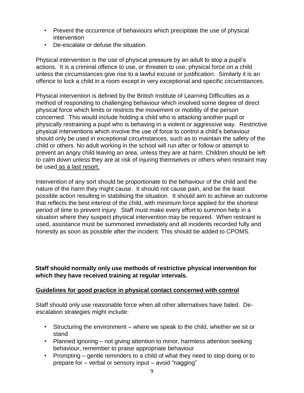- Prevent the occurrence of behaviours which precipitate the use of physical intervention
- De-escalate or defuse the situation.

Physical intervention is the use of physical pressure by an adult to stop a pupil's actions. It is a criminal offence to use, or threaten to use, physical force on a child unless the circumstances give rise to a lawful excuse or justification. Similarly it is an offence to lock a child in a room except in very exceptional and specific circumstances.

Physical intervention is defined by the British Institute of Learning Difficulties as a method of responding to challenging behaviour which involved some degree of direct physical force which limits or restricts the movement or mobility of the person concerned. This would include holding a child who is attacking another pupil or physically restraining a pupil who is behaving in a violent or aggressive way. Restrictive physical interventions which involve the use of force to control a child's behaviour should only be used in exceptional circumstances, such as to maintain the safety of the child or others. No adult working in the school will run after or follow or attempt to prevent an angry child leaving an area, unless they are at harm. Children should be left to calm down unless they are at risk of injuring themselves or others when restraint may be used as a last resort.

Intervention of any sort should be proportionate to the behaviour of the child and the nature of the harm they might cause. It should not cause pain, and be the least possible action resulting in stabilising the situation. It should aim to achieve an outcome that reflects the best interest of the child, with minimum force applied for the shortest period of time to prevent injury. Staff must make every effort to summon help in a situation where they suspect physical intervention may be required. When restraint is used, assistance must be summoned immediately and all incidents recorded fully and honestly as soon as possible after the incident. This should be added to CPOMS.

**Staff should normally only use methods of restrictive physical intervention for which they have received training at regular intervals.** 

#### **Guidelines for good practice in physical contact concerned with control**

Staff should only use reasonable force when all other alternatives have failed. Deescalation strategies might include:

- Structuring the environment where we speak to the child, whether we sit or stand
- Planned ignoring not giving attention to minor, harmless attention seeking behaviour, remember to praise appropriate behaviour
- Prompting gentle reminders to a child of what they need to stop doing or to prepare for – verbal or sensory input – avoid "nagging"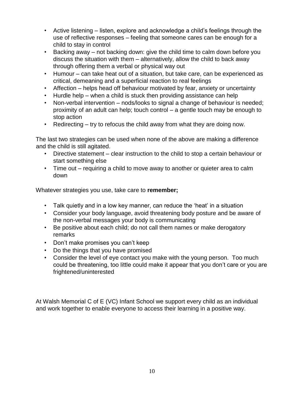- Active listening listen, explore and acknowledge a child's feelings through the use of reflective responses – feeling that someone cares can be enough for a child to stay in control
- Backing away not backing down: give the child time to calm down before you discuss the situation with them – alternatively, allow the child to back away through offering them a verbal or physical way out
- Humour can take heat out of a situation, but take care, can be experienced as critical, demeaning and a superficial reaction to real feelings
- Affection helps head off behaviour motivated by fear, anxiety or uncertainty
- Hurdle help when a child is stuck then providing assistance can help
- Non-verbal intervention nods/looks to signal a change of behaviour is needed; proximity of an adult can help; touch control – a gentle touch may be enough to stop action
- Redirecting try to refocus the child away from what they are doing now.

The last two strategies can be used when none of the above are making a difference and the child is still agitated.

- Directive statement clear instruction to the child to stop a certain behaviour or start something else
- Time out requiring a child to move away to another or quieter area to calm down

Whatever strategies you use, take care to **remember;** 

- Talk quietly and in a low key manner, can reduce the 'heat' in a situation
- Consider your body language, avoid threatening body posture and be aware of the non-verbal messages your body is communicating
- Be positive about each child; do not call them names or make derogatory remarks
- Don't make promises you can't keep
- Do the things that you have promised
- Consider the level of eye contact you make with the young person. Too much could be threatening, too little could make it appear that you don't care or you are frightened/uninterested

At Walsh Memorial C of E (VC) Infant School we support every child as an individual and work together to enable everyone to access their learning in a positive way.